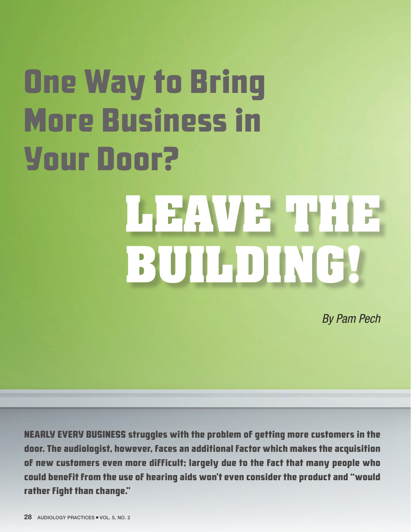# One Way to Bring More Business in Your Door?

# LE 2 AV 2 H H ; 1 2 **BUILDING!**

By Pam Pech

NEARLY EVERY BUSINESS struggles with the problem of getting more customers in the door. The audiologist, however, faces an additional factor which makes the acquisition of new customers even more difficult; largely due to the fact that many people who could benefit from the use of hearing aids won't even consider the product and "would rather fight than change."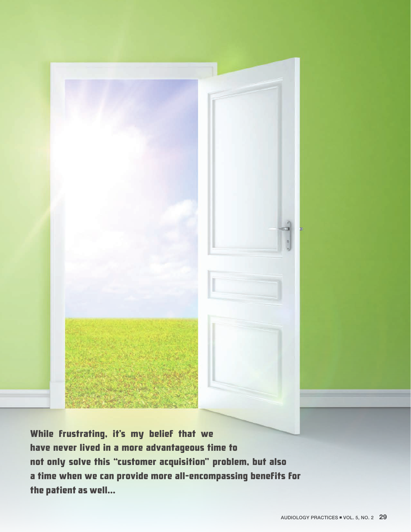

While frustrating, it's my belief that we have never lived in a more advantageous time to not only solve this "customer acquisition" problem, but also a time when we can provide more all-encompassing benefits for the patient as well...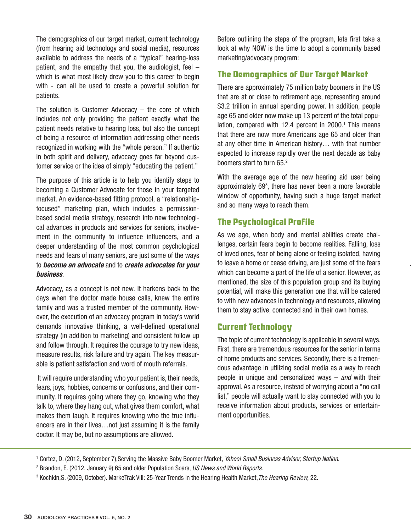The demographics of our target market, current technology (from hearing aid technology and social media), resources available to address the needs of a "typical" hearing-loss patient, and the empathy that you, the audiologist, feel – which is what most likely drew you to this career to begin with - can all be used to create a powerful solution for patients.

The solution is Customer Advocacy  $-$  the core of which includes not only providing the patient exactly what the patient needs relative to hearing loss, but also the concept of being a resource of information addressing other needs recognized in working with the "whole person." If authentic in both spirit and delivery, advocacy goes far beyond customer service or the idea of simply "educating the patient."

The purpose of this article is to help you identify steps to becoming a Customer Advocate for those in your targeted market. An evidence-based fitting protocol, a "relationshipfocused" marketing plan, which includes a permissionbased social media strategy, research into new technological advances in products and services for seniors, involvement in the community to influence influencers, and a deeper understanding of the most common psychological needs and fears of many seniors, are just some of the ways to become an advocate and to create advocates for your business.

Advocacy, as a concept is not new. It harkens back to the days when the doctor made house calls, knew the entire family and was a trusted member of the community. However, the execution of an advocacy program in today's world demands innovative thinking, a well-defined operational strategy (in addition to marketing) and consistent follow up and follow through. It requires the courage to try new ideas, measure results, risk failure and try again. The key measurable is patient satisfaction and word of mouth referrals.

 It will require understanding who your patient is, their needs, fears, joys, hobbies, concerns or confusions, and their community. It requires going where they go, knowing who they talk to, where they hang out, what gives them comfort, what makes them laugh. It requires knowing who the true influencers are in their lives…not just assuming it is the family doctor. It may be, but no assumptions are allowed.

Before outlining the steps of the program, lets first take a look at why NOW is the time to adopt a community based marketing/advocacy program:

# The Demographics of Our Target Market

There are approximately 75 million baby boomers in the US that are at or close to retirement age, representing around \$3.2 trillion in annual spending power. In addition, people age 65 and older now make up 13 percent of the total population, compared with 12.4 percent in 2000.<sup>1</sup> This means that there are now more Americans age 65 and older than at any other time in American history… with that number expected to increase rapidly over the next decade as baby boomers start to turn 65.<sup>2</sup>

With the average age of the new hearing aid user being approximately 693 , there has never been a more favorable window of opportunity, having such a huge target market and so many ways to reach them.

# The Psychological Profile

As we age, when body and mental abilities create challenges, certain fears begin to become realities. Falling, loss of loved ones, fear of being alone or feeling isolated, having to leave a home or cease driving, are just some of the fears which can become a part of the life of a senior. However, as mentioned, the size of this population group and its buying potential, will make this generation one that will be catered to with new advances in technology and resources, allowing them to stay active, connected and in their own homes.

# Current Technology

The topic of current technology is applicable in several ways. First, there are tremendous resources for the senior in terms of home products and services. Secondly, there is a tremendous advantage in utilizing social media as a way to reach people in unique and personalized ways  $-$  and with their approval. As a resource, instead of worrying about a "no call list," people will actually want to stay connected with you to receive information about products, services or entertainment opportunities.

<sup>&</sup>lt;sup>1</sup> Cortez, D. (2012, September 7),Serving the Massive Baby Boomer Market, *Yahoo! Small Business Advisor, Startup Nation*.

<sup>&</sup>lt;sup>2</sup> Brandon, E. (2012, January 9) 65 and older Population Soars, US News and World Reports.

<sup>&</sup>lt;sup>3</sup> Kochkin,S. (2009, October). MarkeTrak VIII: 25-Year Trends in the Hearing Health Market,*The Hearing Review,* 22.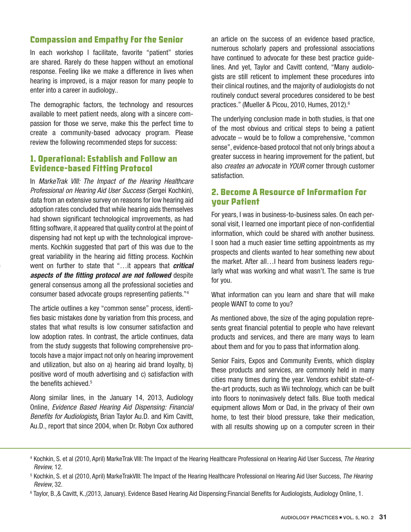# Compassion and Empathy for the Senior

In each workshop I facilitate, favorite "patient" stories are shared. Rarely do these happen without an emotional response. Feeling like we make a difference in lives when hearing is improved, is a major reason for many people to enter into a career in audiology..

The demographic factors, the technology and resources available to meet patient needs, along with a sincere compassion for those we serve, make this the perfect time to create a community-based advocacy program. Please review the following recommended steps for success:

#### 1. Operational: Establish and Follow an Evidence-based Fitting Protocol

In MarkeTrak VIII: The Impact of the Hearing Healthcare Professional on Hearing Aid User Success (Sergei Kochkin), data from an extensive survey on reasons for low hearing aid adoption rates concluded that while hearing aids themselves had shown significant technological improvements, as had fitting software, it appeared that quality control at the point of dispensing had not kept up with the technological improvements. Kochkin suggested that part of this was due to the great variability in the hearing aid fitting process. Kochkin went on further to state that "...it appears that critical aspects of the fitting protocol are not followed despite general consensus among all the professional societies and consumer based advocate groups representing patients."4

The article outlines a key "common sense" process, identifies basic mistakes done by variation from this process, and states that what results is low consumer satisfaction and low adoption rates. In contrast, the article continues, data from the study suggests that following comprehensive protocols have a major impact not only on hearing improvement and utilization, but also on a) hearing aid brand loyalty, b) positive word of mouth advertising and c) satisfaction with the benefits achieved.<sup>5</sup>

Along similar lines, in the January 14, 2013, Audiology Online, Evidence Based Hearing Aid Dispensing: Financial Benefits for Audiologists, Brian Taylor Au.D. and Kim Cavitt, Au.D., report that since 2004, when Dr. Robyn Cox authored

an article on the success of an evidence based practice, numerous scholarly papers and professional associations have continued to advocate for these best practice guidelines. And yet, Taylor and Cavitt contend, "Many audiologists are still reticent to implement these procedures into their clinical routines, and the majority of audiologists do not routinely conduct several procedures considered to be best practices." (Mueller & Picou, 2010, Humes, 2012).<sup>6</sup>

The underlying conclusion made in both studies, is that one of the most obvious and critical steps to being a patient advocate – would be to follow a comprehensive, "common sense", evidence-based protocol that not only brings about a greater success in hearing improvement for the patient, but also creates an advocate in YOUR corner through customer satisfaction.

#### 2. Become A Resource of Information for your Patient

For years, I was in business-to-business sales. On each personal visit, I learned one important piece of non-confidential information, which could be shared with another business. I soon had a much easier time setting appointments as my prospects and clients wanted to hear something new about the market. After all…I heard from business leaders regularly what was working and what wasn't. The same is true for you.

What information can you learn and share that will make people WANT to come to you?

As mentioned above, the size of the aging population represents great financial potential to people who have relevant products and services, and there are many ways to learn about them and for you to pass that information along.

Senior Fairs, Expos and Community Events, which display these products and services, are commonly held in many cities many times during the year. Vendors exhibit state-ofthe-art products, such as Wii technology, which can be built into floors to noninvasively detect falls. Blue tooth medical equipment allows Mom or Dad, in the privacy of their own home, to test their blood pressure, take their medication, with all results showing up on a computer screen in their

<sup>4</sup> Kochkin, S. et al (2010, April) MarkeTrak VIII: The Impact of the Hearing Healthcare Professional on Hearing Aid User Success, The Hearing Review, 12.

<sup>6</sup> Taylor, B.,& Cavitt, K.,(2013, January). Evidence Based Hearing Aid Dispensing:Financial Benefits for Audiologists, Audiology Online, 1.

<sup>&</sup>lt;sup>5</sup> Kochkin, S. et al (2010, April) MarkeTrakVIII: The Impact of the Hearing Healthcare Professional on Hearing Aid User Success, The Hearing Review, 32.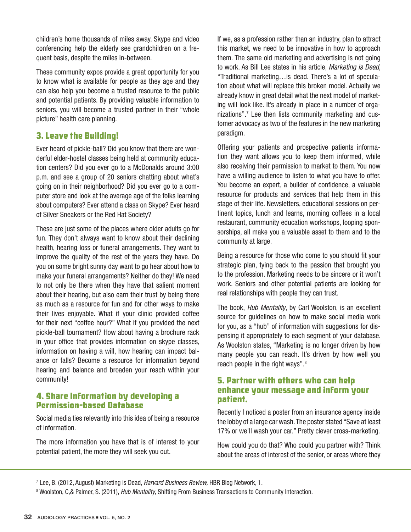children's home thousands of miles away. Skype and video conferencing help the elderly see grandchildren on a frequent basis, despite the miles in-between.

These community expos provide a great opportunity for you to know what is available for people as they age and they can also help you become a trusted resource to the public and potential patients. By providing valuable information to seniors, you will become a trusted partner in their "whole picture" health care planning.

# 3. Leave the Building!

Ever heard of pickle-ball? Did you know that there are wonderful elder-hostel classes being held at community education centers? Did you ever go to a McDonalds around 3:00 p.m. and see a group of 20 seniors chatting about what's going on in their neighborhood? Did you ever go to a computer store and look at the average age of the folks learning about computers? Ever attend a class on Skype? Ever heard of Silver Sneakers or the Red Hat Society?

These are just some of the places where older adults go for fun. They don't always want to know about their declining health, hearing loss or funeral arrangements. They want to improve the quality of the rest of the years they have. Do you on some bright sunny day want to go hear about how to make your funeral arrangements? Neither do they! We need to not only be there when they have that salient moment about their hearing, but also earn their trust by being there as much as a resource for fun and for other ways to make their lives enjoyable. What if your clinic provided coffee for their next "coffee hour?" What if you provided the next pickle-ball tournament? How about having a brochure rack in your office that provides information on skype classes, information on having a will, how hearing can impact balance or falls? Become a resource for information beyond hearing and balance and broaden your reach within your community!

#### 4. Share Information by developing a Permission-based Database

Social media ties relevantly into this idea of being a resource of information.

The more information you have that is of interest to your potential patient, the more they will seek you out.

If we, as a profession rather than an industry, plan to attract this market, we need to be innovative in how to approach them. The same old marketing and advertising is not going to work. As Bill Lee states in his article, Marketing is Dead, "Traditional marketing…is dead. There's a lot of speculation about what will replace this broken model. Actually we already know in great detail what the next model of marketing will look like. It's already in place in a number of organizations".7 Lee then lists community marketing and customer advocacy as two of the features in the new marketing paradigm.

Offering your patients and prospective patients information they want allows you to keep them informed, while also receiving their permission to market to them. You now have a willing audience to listen to what you have to offer. You become an expert, a builder of confidence, a valuable resource for products and services that help them in this stage of their life. Newsletters, educational sessions on pertinent topics, lunch and learns, morning coffees in a local restaurant, community education workshops, looping sponsorships, all make you a valuable asset to them and to the community at large.

Being a resource for those who come to you should fit your strategic plan, tying back to the passion that brought you to the profession. Marketing needs to be sincere or it won't work. Seniors and other potential patients are looking for real relationships with people they can trust.

The book, Hub Mentality, by Carl Woolston, is an excellent source for guidelines on how to make social media work for you, as a "hub" of information with suggestions for dispensing it appropriately to each segment of your database. As Woolston states, "Marketing is no longer driven by how many people you can reach. It's driven by how well you reach people in the right ways".8

#### 5. Partner with others who can help enhance your message and inform your patient.

Recently I noticed a poster from an insurance agency inside the lobby of a large car wash. The poster stated "Save at least 17% or we'll wash your car." Pretty clever cross-marketing.

How could you do that? Who could you partner with? Think about the areas of interest of the senior, or areas where they

<sup>7</sup> Lee, B. (2012, August) Marketing is Dead, *Harvard Business Review,* HBR Blog Network, 1.

<sup>8</sup> Woolston, C,& Palmer, S. (2011), *Hub Mentality*, Shifting From Business Transactions to Community Interaction.